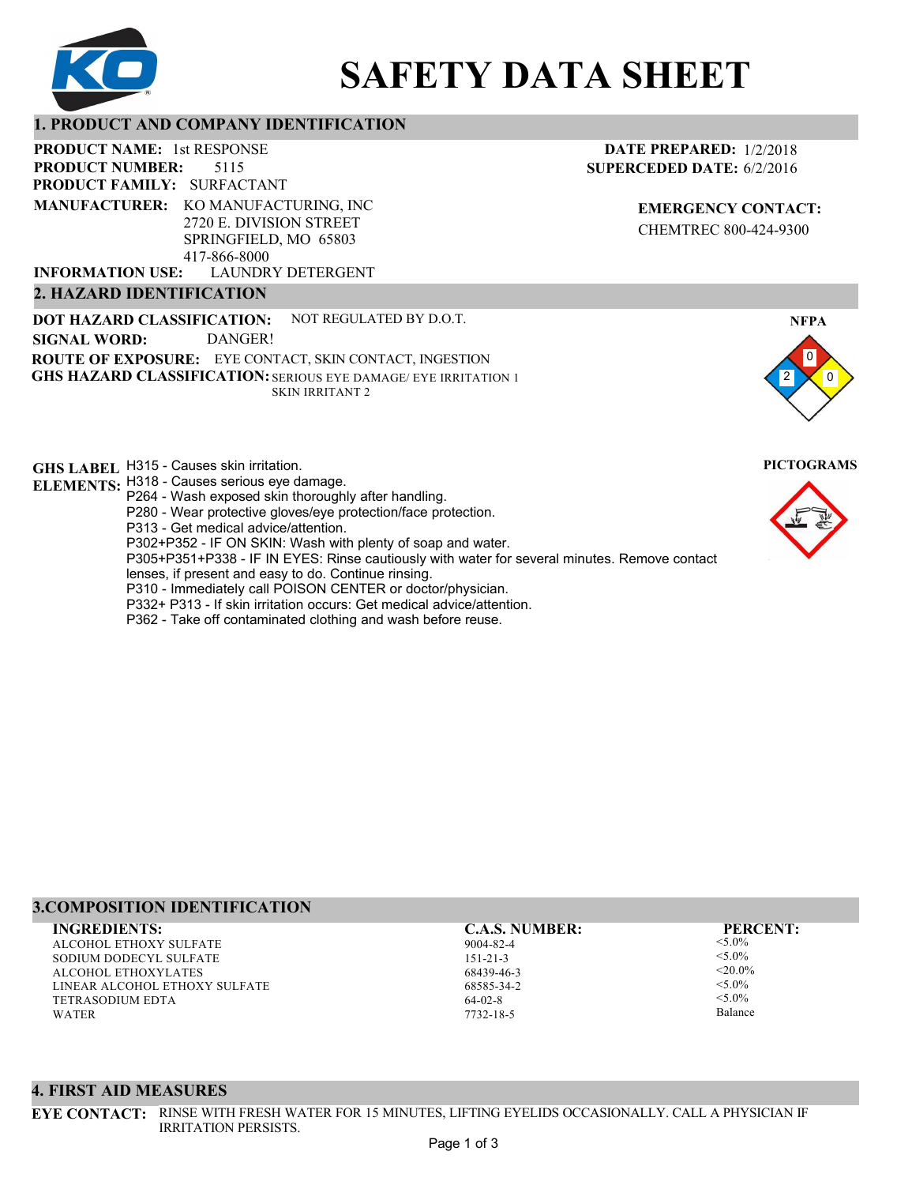

# **SAFETY DATA SHEET**

## **1. PRODUCT AND COMPANY IDENTIFICATION**

5115 **PRODUCT NAME: 1st RESPONSE PRODUCT FAMILY: SURFACTANT** LAUNDRY DETERGENT **PRODUCT NUMBER: 2. HAZARD IDENTIFICATION MANUFACTURER:** KO MANUFACTURING, INC 2720 E. DIVISION STREET SPRINGFIELD, MO 65803 417-866-8000 **INFORMATION USE:**

**DOT HAZARD CLASSIFICATION: GHS HAZARD CLASSIFICATION:** SERIOUS EYE DAMAGE/ EYE IRRITATION 1 **ROUTE OF EXPOSURE:** EYE CONTACT, SKIN CONTACT, INGESTION NOT REGULATED BY D.O.T. SKIN IRRITANT 2 **SIGNAL WORD:** DANGER!

**GHS LABEL**  H315 - Causes skin irritation. **PICTOGRAMS ELEMENTS:** H318 - Causes serious eye damage.

- P264 Wash exposed skin thoroughly after handling.
- P280 Wear protective gloves/eye protection/face protection.
- P313 Get medical advice/attention.
- P302+P352 IF ON SKIN: Wash with plenty of soap and water.

P305+P351+P338 - IF IN EYES: Rinse cautiously with water for several minutes. Remove contact

- lenses, if present and easy to do. Continue rinsing.
- P310 Immediately call POISON CENTER or doctor/physician. P332+ P313 - If skin irritation occurs: Get medical advice/attention.
- 
- P362 Take off contaminated clothing and wash before reuse.

## **3.COMPOSITION IDENTIFICATION INGREDIENTS: C.A.S. NUMBER: PERCENT:**

ALCOHOL ETHOXY SULFATE SODIUM DODECYL SULFATE ALCOHOL ETHOXYLATES LINEAR ALCOHOL ETHOXY SULFATE TETRASODIUM EDTA WATER

IRRITATION PERSISTS.

**4. FIRST AID MEASURES**

9004-82-4 151-21-3 68439-46-3 68585-34-2 64-02-8 7732-18-5

<5.0%  $< 5.0\%$  $< 20.0\%$  $< 5.0\%$  $<$  5.0%

Balance

0 0

**NFPA**

2



## **DATE PREPARED:** 1/2/2018 **SUPERCEDED DATE:** 6/2/2016

**EMERGENCY CONTACT:** CHEMTREC 800-424-9300

**EYE CONTACT:** RINSE WITH FRESH WATER FOR 15 MINUTES, LIFTING EYELIDS OCCASIONALLY. CALL A PHYSICIAN IF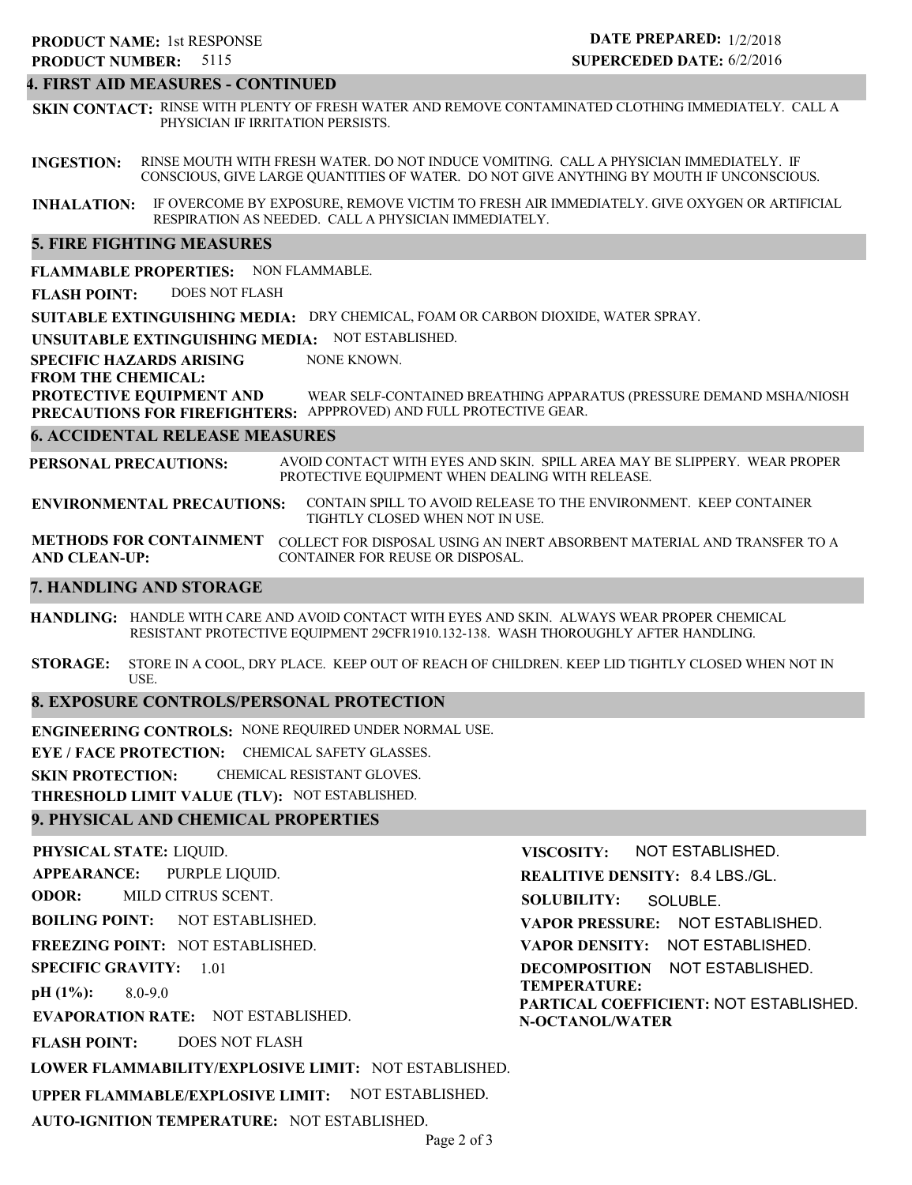### **4. FIRST AID MEASURES - CONTINUED**

**SKIN CONTACT:** RINSE WITH PLENTY OF FRESH WATER AND REMOVE CONTAMINATED CLOTHING IMMEDIATELY. CALL A PHYSICIAN IF IRRITATION PERSISTS.

**INGESTION:** RINSE MOUTH WITH FRESH WATER. DO NOT INDUCE VOMITING. CALL A PHYSICIAN IMMEDIATELY. IF CONSCIOUS, GIVE LARGE QUANTITIES OF WATER. DO NOT GIVE ANYTHING BY MOUTH IF UNCONSCIOUS.

**INHALATION:** IF OVERCOME BY EXPOSURE, REMOVE VICTIM TO FRESH AIR IMMEDIATELY. GIVE OXYGEN OR ARTIFICIAL RESPIRATION AS NEEDED. CALL A PHYSICIAN IMMEDIATELY.

## **5. FIRE FIGHTING MEASURES**

**FLAMMABLE PROPERTIES:** NON FLAMMABLE.

**FLASH POINT:** DOES NOT FLASH

**SUITABLE EXTINGUISHING MEDIA:** DRY CHEMICAL, FOAM OR CARBON DIOXIDE, WATER SPRAY.

**UNSUITABLE EXTINGUISHING MEDIA:** NOT ESTABLISHED.

**SPECIFIC HAZARDS ARISING** NONE KNOWN.

**FROM THE CHEMICAL:**

**PROTECTIVE EQUIPMENT AND PRECAUTIONS FOR FIREFIGHTERS:** APPPROVED) AND FULL PROTECTIVE GEAR. WEAR SELF-CONTAINED BREATHING APPARATUS (PRESSURE DEMAND MSHA/NIOSH

## **6. ACCIDENTAL RELEASE MEASURES**

**PERSONAL PRECAUTIONS:** AVOID CONTACT WITH EYES AND SKIN. SPILL AREA MAY BE SLIPPERY. WEAR PROPER PROTECTIVE EQUIPMENT WHEN DEALING WITH RELEASE.

**ENVIRONMENTAL PRECAUTIONS:** CONTAIN SPILL TO AVOID RELEASE TO THE ENVIRONMENT. KEEP CONTAINER TIGHTLY CLOSED WHEN NOT IN USE.

**METHODS FOR CONTAINMENT** COLLECT FOR DISPOSAL USING AN INERT ABSORBENT MATERIAL AND TRANSFER TO A **AND CLEAN-UP:** CONTAINER FOR REUSE OR DISPOSAL.

## **7. HANDLING AND STORAGE**

**HANDLING:** HANDLE WITH CARE AND AVOID CONTACT WITH EYES AND SKIN. ALWAYS WEAR PROPER CHEMICAL RESISTANT PROTECTIVE EQUIPMENT 29CFR1910.132-138. WASH THOROUGHLY AFTER HANDLING.

**STORAGE:** STORE IN A COOL, DRY PLACE. KEEP OUT OF REACH OF CHILDREN. KEEP LID TIGHTLY CLOSED WHEN NOT IN USE.

## **8. EXPOSURE CONTROLS/PERSONAL PROTECTION**

**ENGINEERING CONTROLS:** NONE REQUIRED UNDER NORMAL USE.

**EYE / FACE PROTECTION:** CHEMICAL SAFETY GLASSES.

**SKIN PROTECTION:** CHEMICAL RESISTANT GLOVES.

**THRESHOLD LIMIT VALUE (TLV):** NOT ESTABLISHED.

## **9. PHYSICAL AND CHEMICAL PROPERTIES**

**PHYSICAL STATE:** LIQUID. **APPEARANCE: ODOR: BOILING POINT: FREEZING POINT:** NOT ESTABLISHED. **SPECIFIC GRAVITY:** 1.01 **pH (1%): EVAPORATION RATE:** NOT ESTABLISHED. **FLASH POINT: LOWER FLAMMABILITY/EXPLOSIVE LIMIT:** NOT ESTABLISHED. **UPPER FLAMMABLE/EXPLOSIVE LIMIT:** NOT ESTABLISHED. **AUTO-IGNITION TEMPERATURE:** NOT ESTABLISHED. NOT ESTABLISHED. 8.0-9.0 DOES NOT FLASH PURPLE LIQUID. MILD CITRUS SCENT.

**VISCOSITY: REALITIVE DENSITY:** 8.4 LBS./GL. **SOLUBILITY: VAPOR PRESSURE:** NOT ESTABLISHED. **VAPOR DENSITY:** NOT ESTABLISHED. **DECOMPOSITION** NOT ESTABLISHED. **TEMPERATURE: PARTICAL COEFFICIENT:** NOT ESTABLISHED. **N-OCTANOL/WATER** NOT ESTABLISHED. SOLUBLE.